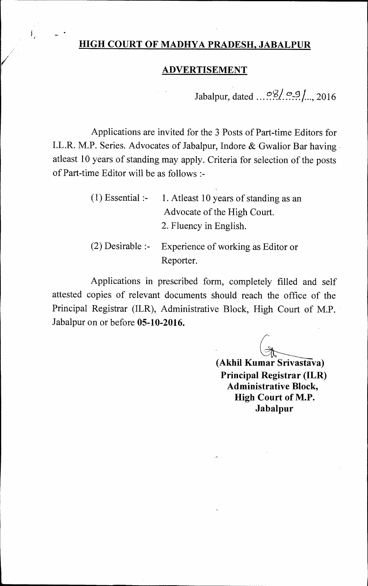## **HIGH COURT OF MADHYA PRADESH, JABALPUR**

 $\mathbf{f}_{\alpha}$ 

### **ADVERTISEMENT**

Jabalpur, dated  $\frac{\infty}{2}$ ,  $\frac{\infty}{2}$ , 2016

Applications are invited for the 3 Posts of Part-time Editors for I.L.R. M.P. Series. Advocates of Jabalpur, Indore & Gwalior Bar having atleast 10 years of standing may apply. Criteria for selection of the posts of Part-time Editor will be as follows :-

| $(1)$ Essential :- | 1. Atleast 10 years of standing as an               |
|--------------------|-----------------------------------------------------|
|                    | Advocate of the High Court.                         |
|                    | 2. Fluency in English.                              |
|                    | (2) Desirable :- Experience of working as Editor or |
|                    | Reporter.                                           |

Applications in prescribed form, completely filled and self attested copies of relevant documents should reach the office of the Principal Registrar (ILR), Administrative Block, High Court of M.P. Jabalpur on or before **05-10-2016.** 

**(Akhil Kumar Srivastava) Principal Registrar (ILR) Administrative Block, High Court of M.P. Jabalpur**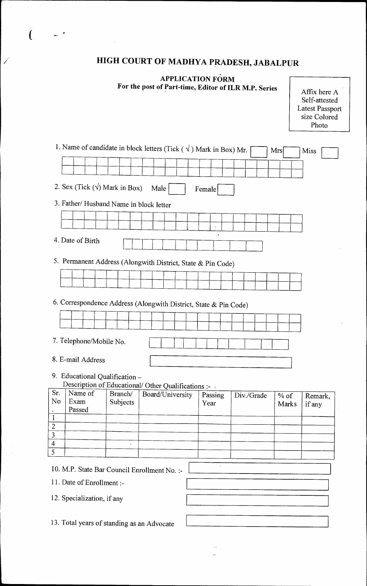# **HIGH COURT OF MADHYA PRADESH, JABALPUR**

 $\overline{C}$ 

7

 $\bar{\bar{z}}$ 

### **APPLICATION FORM For the post of Part-time, Editor of ILR M.P. Series** Affix here A

Self-attested Latest Passport size Colored Photo

| 1. Name of candidate in block letters (Tick $(\sqrt{})$ ) Mark in Box) Mr.<br>Mrs<br>Miss   |  |
|---------------------------------------------------------------------------------------------|--|
|                                                                                             |  |
|                                                                                             |  |
| 2. Sex (Tick $(\forall)$ Mark in Box)<br>Male<br>Female                                     |  |
| 3. Father/ Husband Name in block letter                                                     |  |
| A,                                                                                          |  |
| $\mathcal{A}_i$<br>4. Date of Birth                                                         |  |
| 5. Permanent Address (Alongwith District, State & Pin Code)                                 |  |
|                                                                                             |  |
| 6. Correspondence Address (Alongwith District, State & Pin Code)                            |  |
|                                                                                             |  |
| 7. Telephone/Mobile No.                                                                     |  |
| 8. E-mail Address                                                                           |  |
| 9. Educational Qualification -<br>Description of Educational/Other Qualifications :-        |  |
| Sr.<br>Name of<br>Branch/<br>Board/University<br>Div./Grade<br>Passing<br>$%$ of<br>Remark, |  |
| No<br>Exam<br>Subjects<br>Year<br>Marks<br>if any<br>Passed                                 |  |
|                                                                                             |  |
| $\frac{1}{2}$ $\frac{1}{3}$ $\frac{4}{5}$                                                   |  |
|                                                                                             |  |
|                                                                                             |  |
| 10. M.P. State Bar Council Enrollment No. :-                                                |  |
| 11. Date of Enrollment :-                                                                   |  |
| 12. Specialization, if any                                                                  |  |
| 13. Total years of standing as an Advocate                                                  |  |

j.